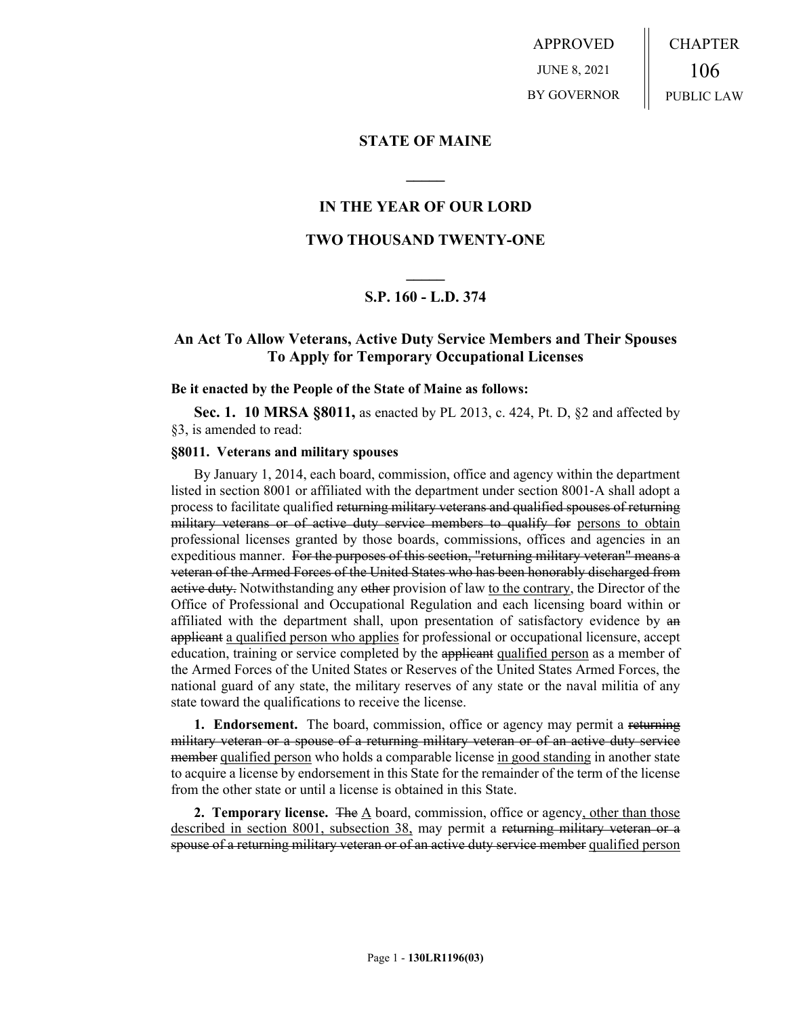APPROVED JUNE 8, 2021 BY GOVERNOR CHAPTER 106 PUBLIC LAW

### **STATE OF MAINE**

## **IN THE YEAR OF OUR LORD**

**\_\_\_\_\_**

## **TWO THOUSAND TWENTY-ONE**

# **\_\_\_\_\_ S.P. 160 - L.D. 374**

## **An Act To Allow Veterans, Active Duty Service Members and Their Spouses To Apply for Temporary Occupational Licenses**

#### **Be it enacted by the People of the State of Maine as follows:**

**Sec. 1. 10 MRSA §8011,** as enacted by PL 2013, c. 424, Pt. D, §2 and affected by §3, is amended to read:

### **§8011. Veterans and military spouses**

By January 1, 2014, each board, commission, office and agency within the department listed in section 8001 or affiliated with the department under section 8001‑A shall adopt a process to facilitate qualified returning military veterans and qualified spouses of returning military veterans or of active duty service members to qualify for persons to obtain professional licenses granted by those boards, commissions, offices and agencies in an expeditious manner. For the purposes of this section, "returning military veteran" means a veteran of the Armed Forces of the United States who has been honorably discharged from active duty. Notwithstanding any other provision of law to the contrary, the Director of the Office of Professional and Occupational Regulation and each licensing board within or affiliated with the department shall, upon presentation of satisfactory evidence by an applicant a qualified person who applies for professional or occupational licensure, accept education, training or service completed by the applicant qualified person as a member of the Armed Forces of the United States or Reserves of the United States Armed Forces, the national guard of any state, the military reserves of any state or the naval militia of any state toward the qualifications to receive the license.

**1. Endorsement.** The board, commission, office or agency may permit a returning military veteran or a spouse of a returning military veteran or of an active duty service member qualified person who holds a comparable license in good standing in another state to acquire a license by endorsement in this State for the remainder of the term of the license from the other state or until a license is obtained in this State.

**2. Temporary license.** The A board, commission, office or agency, other than those described in section 8001, subsection 38, may permit a returning military veteran or a spouse of a returning military veteran or of an active duty service member qualified person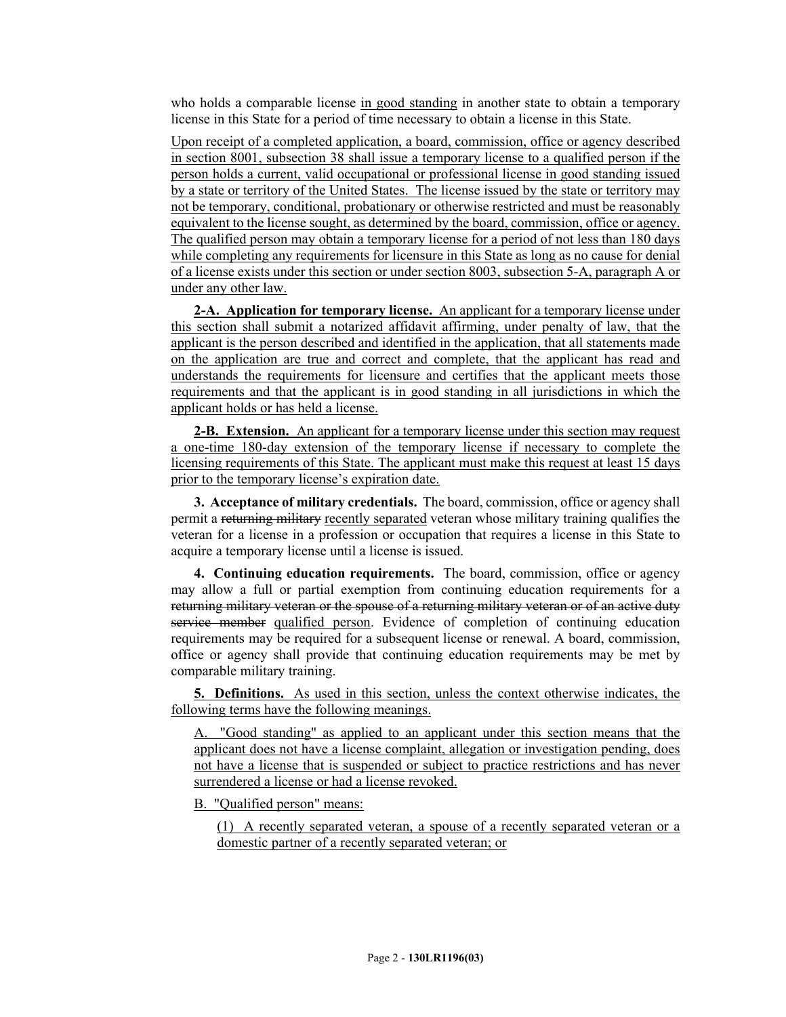who holds a comparable license in good standing in another state to obtain a temporary license in this State for a period of time necessary to obtain a license in this State.

Upon receipt of a completed application, a board, commission, office or agency described in section 8001, subsection 38 shall issue a temporary license to a qualified person if the person holds a current, valid occupational or professional license in good standing issued by a state or territory of the United States. The license issued by the state or territory may not be temporary, conditional, probationary or otherwise restricted and must be reasonably equivalent to the license sought, as determined by the board, commission, office or agency. The qualified person may obtain a temporary license for a period of not less than 180 days while completing any requirements for licensure in this State as long as no cause for denial of a license exists under this section or under section 8003, subsection 5-A, paragraph A or under any other law.

**2-A. Application for temporary license.** An applicant for a temporary license under this section shall submit a notarized affidavit affirming, under penalty of law, that the applicant is the person described and identified in the application, that all statements made on the application are true and correct and complete, that the applicant has read and understands the requirements for licensure and certifies that the applicant meets those requirements and that the applicant is in good standing in all jurisdictions in which the applicant holds or has held a license.

**2-B. Extension.** An applicant for a temporary license under this section may request a one-time 180-day extension of the temporary license if necessary to complete the licensing requirements of this State. The applicant must make this request at least 15 days prior to the temporary license's expiration date.

**3. Acceptance of military credentials.** The board, commission, office or agency shall permit a returning military recently separated veteran whose military training qualifies the veteran for a license in a profession or occupation that requires a license in this State to acquire a temporary license until a license is issued.

**4. Continuing education requirements.** The board, commission, office or agency may allow a full or partial exemption from continuing education requirements for a returning military veteran or the spouse of a returning military veteran or of an active duty service member qualified person. Evidence of completion of continuing education requirements may be required for a subsequent license or renewal. A board, commission, office or agency shall provide that continuing education requirements may be met by comparable military training.

**5. Definitions.** As used in this section, unless the context otherwise indicates, the following terms have the following meanings.

A. "Good standing" as applied to an applicant under this section means that the applicant does not have a license complaint, allegation or investigation pending, does not have a license that is suspended or subject to practice restrictions and has never surrendered a license or had a license revoked.

B. "Qualified person" means:

(1) A recently separated veteran, a spouse of a recently separated veteran or a domestic partner of a recently separated veteran; or